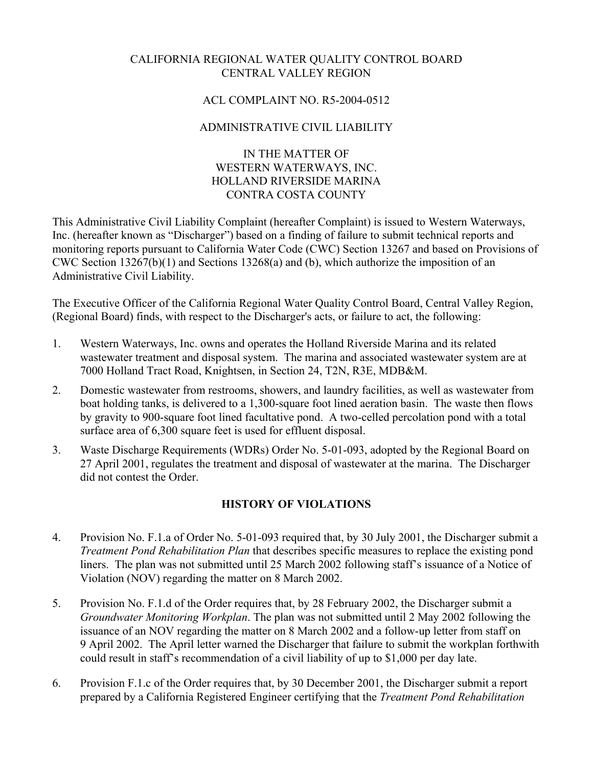# CALIFORNIA REGIONAL WATER QUALITY CONTROL BOARD CENTRAL VALLEY REGION

### ACL COMPLAINT NO. R5-2004-0512

# ADMINISTRATIVE CIVIL LIABILITY

#### IN THE MATTER OF WESTERN WATERWAYS, INC. HOLLAND RIVERSIDE MARINA CONTRA COSTA COUNTY

This Administrative Civil Liability Complaint (hereafter Complaint) is issued to Western Waterways, Inc. (hereafter known as "Discharger") based on a finding of failure to submit technical reports and monitoring reports pursuant to California Water Code (CWC) Section 13267 and based on Provisions of CWC Section 13267(b)(1) and Sections 13268(a) and (b), which authorize the imposition of an Administrative Civil Liability.

The Executive Officer of the California Regional Water Quality Control Board, Central Valley Region, (Regional Board) finds, with respect to the Discharger's acts, or failure to act, the following:

- 1. Western Waterways, Inc. owns and operates the Holland Riverside Marina and its related wastewater treatment and disposal system. The marina and associated wastewater system are at 7000 Holland Tract Road, Knightsen, in Section 24, T2N, R3E, MDB&M.
- 2. Domestic wastewater from restrooms, showers, and laundry facilities, as well as wastewater from boat holding tanks, is delivered to a 1,300-square foot lined aeration basin. The waste then flows by gravity to 900-square foot lined facultative pond. A two-celled percolation pond with a total surface area of 6,300 square feet is used for effluent disposal.
- 3. Waste Discharge Requirements (WDRs) Order No. 5-01-093, adopted by the Regional Board on 27 April 2001, regulates the treatment and disposal of wastewater at the marina. The Discharger did not contest the Order.

## **HISTORY OF VIOLATIONS**

- 4. Provision No. F.1.a of Order No. 5-01-093 required that, by 30 July 2001, the Discharger submit a *Treatment Pond Rehabilitation Plan* that describes specific measures to replace the existing pond liners. The plan was not submitted until 25 March 2002 following staff's issuance of a Notice of Violation (NOV) regarding the matter on 8 March 2002.
- 5. Provision No. F.1.d of the Order requires that, by 28 February 2002, the Discharger submit a *Groundwater Monitoring Workplan*. The plan was not submitted until 2 May 2002 following the issuance of an NOV regarding the matter on 8 March 2002 and a follow-up letter from staff on 9 April 2002. The April letter warned the Discharger that failure to submit the workplan forthwith could result in staff's recommendation of a civil liability of up to \$1,000 per day late.
- 6. Provision F.1.c of the Order requires that, by 30 December 2001, the Discharger submit a report prepared by a California Registered Engineer certifying that the *Treatment Pond Rehabilitation*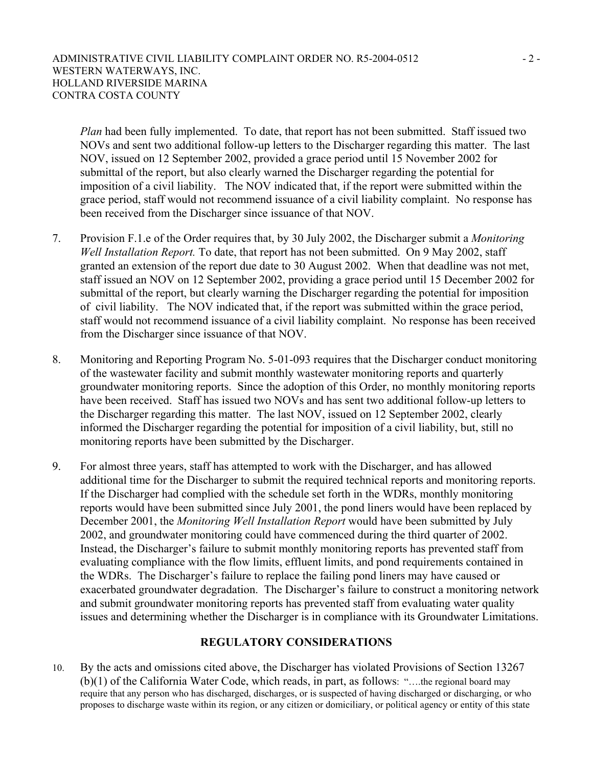*Plan* had been fully implemented. To date, that report has not been submitted. Staff issued two NOVs and sent two additional follow-up letters to the Discharger regarding this matter. The last NOV, issued on 12 September 2002, provided a grace period until 15 November 2002 for submittal of the report, but also clearly warned the Discharger regarding the potential for imposition of a civil liability. The NOV indicated that, if the report were submitted within the grace period, staff would not recommend issuance of a civil liability complaint. No response has been received from the Discharger since issuance of that NOV.

- 7. Provision F.1.e of the Order requires that, by 30 July 2002, the Discharger submit a *Monitoring Well Installation Report.* To date, that report has not been submitted. On 9 May 2002, staff granted an extension of the report due date to 30 August 2002. When that deadline was not met, staff issued an NOV on 12 September 2002, providing a grace period until 15 December 2002 for submittal of the report, but clearly warning the Discharger regarding the potential for imposition of civil liability. The NOV indicated that, if the report was submitted within the grace period, staff would not recommend issuance of a civil liability complaint. No response has been received from the Discharger since issuance of that NOV.
- 8. Monitoring and Reporting Program No. 5-01-093 requires that the Discharger conduct monitoring of the wastewater facility and submit monthly wastewater monitoring reports and quarterly groundwater monitoring reports. Since the adoption of this Order, no monthly monitoring reports have been received. Staff has issued two NOVs and has sent two additional follow-up letters to the Discharger regarding this matter. The last NOV, issued on 12 September 2002, clearly informed the Discharger regarding the potential for imposition of a civil liability, but, still no monitoring reports have been submitted by the Discharger.
- 9. For almost three years, staff has attempted to work with the Discharger, and has allowed additional time for the Discharger to submit the required technical reports and monitoring reports. If the Discharger had complied with the schedule set forth in the WDRs, monthly monitoring reports would have been submitted since July 2001, the pond liners would have been replaced by December 2001, the *Monitoring Well Installation Report* would have been submitted by July 2002, and groundwater monitoring could have commenced during the third quarter of 2002. Instead, the Discharger's failure to submit monthly monitoring reports has prevented staff from evaluating compliance with the flow limits, effluent limits, and pond requirements contained in the WDRs. The Discharger's failure to replace the failing pond liners may have caused or exacerbated groundwater degradation. The Discharger's failure to construct a monitoring network and submit groundwater monitoring reports has prevented staff from evaluating water quality issues and determining whether the Discharger is in compliance with its Groundwater Limitations.

#### **REGULATORY CONSIDERATIONS**

10. By the acts and omissions cited above, the Discharger has violated Provisions of Section 13267 (b)(1) of the California Water Code, which reads, in part, as follows: "….the regional board may require that any person who has discharged, discharges, or is suspected of having discharged or discharging, or who proposes to discharge waste within its region, or any citizen or domiciliary, or political agency or entity of this state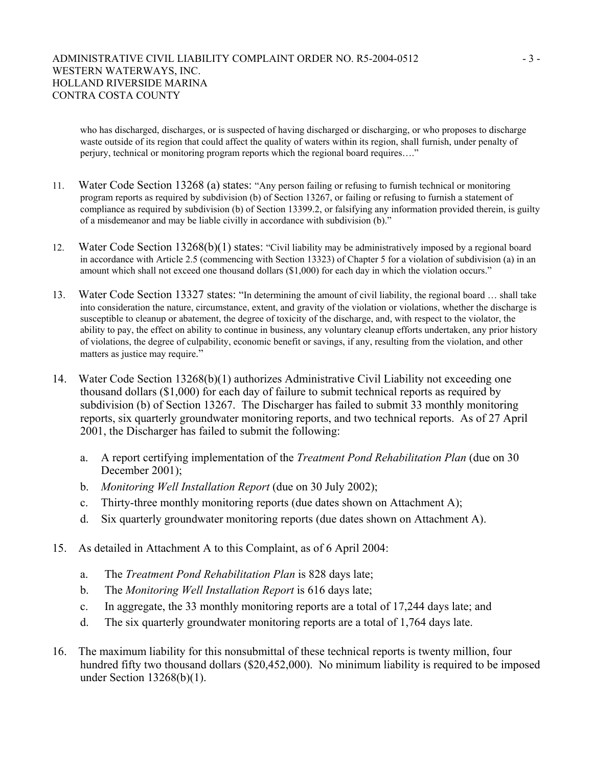#### ADMINISTRATIVE CIVIL LIABILITY COMPLAINT ORDER NO. R5-2004-0512 - 3 -WESTERN WATERWAYS, INC. HOLLAND RIVERSIDE MARINA CONTRA COSTA COUNTY

who has discharged, discharges, or is suspected of having discharged or discharging, or who proposes to discharge waste outside of its region that could affect the quality of waters within its region, shall furnish, under penalty of perjury, technical or monitoring program reports which the regional board requires…."

- 11. Water Code Section 13268 (a) states: "Any person failing or refusing to furnish technical or monitoring program reports as required by subdivision (b) of Section 13267, or failing or refusing to furnish a statement of compliance as required by subdivision (b) of Section 13399.2, or falsifying any information provided therein, is guilty of a misdemeanor and may be liable civilly in accordance with subdivision (b)."
- 12. Water Code Section 13268(b)(1) states: "Civil liability may be administratively imposed by a regional board in accordance with Article 2.5 (commencing with Section 13323) of Chapter 5 for a violation of subdivision (a) in an amount which shall not exceed one thousand dollars (\$1,000) for each day in which the violation occurs."
- 13. Water Code Section 13327 states: "In determining the amount of civil liability, the regional board … shall take into consideration the nature, circumstance, extent, and gravity of the violation or violations, whether the discharge is susceptible to cleanup or abatement, the degree of toxicity of the discharge, and, with respect to the violator, the ability to pay, the effect on ability to continue in business, any voluntary cleanup efforts undertaken, any prior history of violations, the degree of culpability, economic benefit or savings, if any, resulting from the violation, and other matters as justice may require."
- 14. Water Code Section 13268(b)(1) authorizes Administrative Civil Liability not exceeding one thousand dollars (\$1,000) for each day of failure to submit technical reports as required by subdivision (b) of Section 13267. The Discharger has failed to submit 33 monthly monitoring reports, six quarterly groundwater monitoring reports, and two technical reports. As of 27 April 2001, the Discharger has failed to submit the following:
	- a. A report certifying implementation of the *Treatment Pond Rehabilitation Plan* (due on 30 December 2001):
	- b. *Monitoring Well Installation Report* (due on 30 July 2002);
	- c. Thirty-three monthly monitoring reports (due dates shown on Attachment A);
	- d. Six quarterly groundwater monitoring reports (due dates shown on Attachment A).
- 15. As detailed in Attachment A to this Complaint, as of 6 April 2004:
	- a. The *Treatment Pond Rehabilitation Plan* is 828 days late;
	- b. The *Monitoring Well Installation Report* is 616 days late;
	- c. In aggregate, the 33 monthly monitoring reports are a total of 17,244 days late; and
	- d. The six quarterly groundwater monitoring reports are a total of 1,764 days late.
- 16. The maximum liability for this nonsubmittal of these technical reports is twenty million, four hundred fifty two thousand dollars (\$20,452,000). No minimum liability is required to be imposed under Section 13268(b)(1).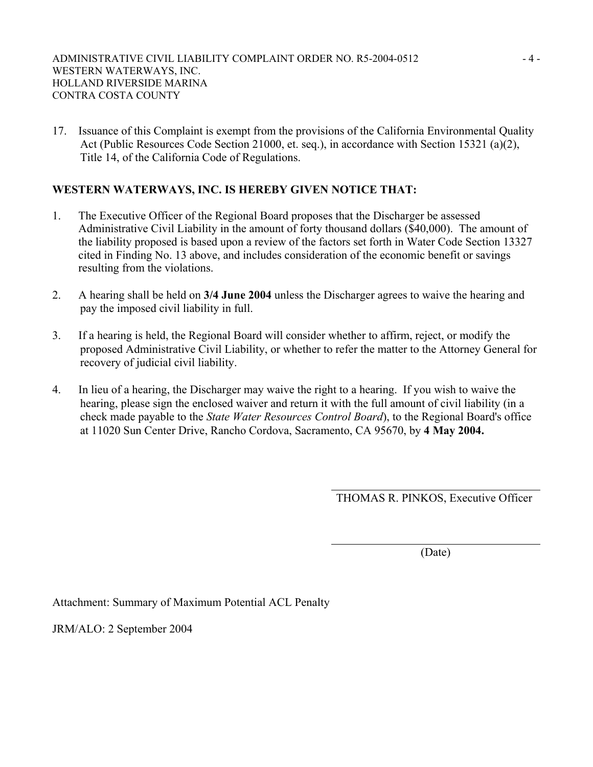17. Issuance of this Complaint is exempt from the provisions of the California Environmental Quality Act (Public Resources Code Section 21000, et. seq.), in accordance with Section 15321 (a)(2), Title 14, of the California Code of Regulations.

## **WESTERN WATERWAYS, INC. IS HEREBY GIVEN NOTICE THAT:**

- 1. The Executive Officer of the Regional Board proposes that the Discharger be assessed Administrative Civil Liability in the amount of forty thousand dollars (\$40,000). The amount of the liability proposed is based upon a review of the factors set forth in Water Code Section 13327 cited in Finding No. 13 above, and includes consideration of the economic benefit or savings resulting from the violations.
- 2. A hearing shall be held on **3/4 June 2004** unless the Discharger agrees to waive the hearing and pay the imposed civil liability in full.
- 3. If a hearing is held, the Regional Board will consider whether to affirm, reject, or modify the proposed Administrative Civil Liability, or whether to refer the matter to the Attorney General for recovery of judicial civil liability.
- 4. In lieu of a hearing, the Discharger may waive the right to a hearing. If you wish to waive the hearing, please sign the enclosed waiver and return it with the full amount of civil liability (in a check made payable to the *State Water Resources Control Board*), to the Regional Board's office at 11020 Sun Center Drive, Rancho Cordova, Sacramento, CA 95670, by **4 May 2004.**

THOMAS R. PINKOS, Executive Officer

(Date)

Attachment: Summary of Maximum Potential ACL Penalty

JRM/ALO: 2 September 2004